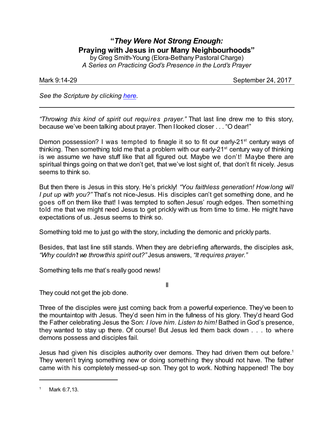## **"***They Were Not Strong Enough:* **Praying with Jesus in our Many Neighbourhoods"**

by Greg Smith-Young (Elora-Bethany Pastoral Charge) *A Series on Practicing God's Presence in the Lord's Prayer*

Mark 9:14-29 September 24, 2017

*See the Scripture by clicking [here](https://www.biblegateway.com/passage/?search=mark+9.14-29&version=CEB).*

*"Throwing this kind of spirit out requires prayer."* That last line drew me to this story, because we've been talking about prayer. Then I looked closer . . . "O dear!"

Demon possession? I was tempted to finagle it so to fit our early-21<sup>st</sup> century ways of thinking. Then something told me that a problem with our early- $21<sup>st</sup>$  century way of thinking is we assume we have stuff like that all figured out. Maybe we don't! Maybe there are spiritual things going on that we don't get, that we've lost sight of, that don't fit nicely. Jesus seems to think so.

But then there is Jesus in this story. He's prickly! *"You faithless generation! How long will I put up with you?"* That's not nice-Jesus. His disciples can't get something done, and he goes off on them like that! I was tempted to soften Jesus' rough edges. Then something told me that we might need Jesus to get prickly with us from time to time. He might have expectations of us. Jesus seems to think so.

Something told me to just go with the story, including the demonic and prickly parts.

Besides, that last line still stands. When they are debriefing afterwards, the disciples ask, *"Why couldn't we throwthis spirit out?"* Jesus answers, *"It requires prayer."*

II

Something tells me that's really good news!

They could not get the job done.

Three of the disciples were just coming back from a powerful experience. They've been to the mountaintop with Jesus. They'd seen him in the fullness of his glory. They'd heard God the Father celebrating Jesus the Son: *I love him. Listen to him!* Bathed in God's presence, they wanted to stay up there. Of course! But Jesus led them back down . . . to where demons possess and disciples fail.

Jesus had given his disciples authority over demons. They had driven them out before.<sup>1</sup> They weren't trying something new or doing something they should not have. The father came with his completely messed-up son. They got to work. Nothing happened! The boy

Mark 6:7,13.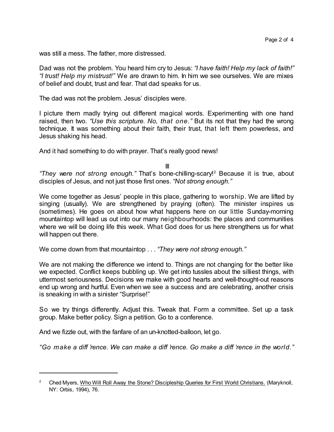was still a mess. The father, more distressed.

Dad was not the problem. You heard him cry to Jesus: *"I have faith! Help my lack of faith!" "I trust! Help my mistrust!"* We are drawn to him. In him we see ourselves. We are mixes of belief and doubt, trust and fear. That dad speaks for us.

The dad was not the problem. Jesus' disciples were.

I picture them madly trying out different magical words. Experimenting with one hand raised, then two. *"Use this scripture. No, that one."* But its not that they had the wrong technique. It was something about their faith, their trust, that left them powerless, and Jesus shaking his head.

And it had something to do with prayer. That's really good news!

III

*"They were not strong enough."* That's bone-chilling-scary! <sup>2</sup> Because it is true, about disciples of Jesus, and not just those first ones. *"Not strong enough."*

We come together as Jesus' people in this place, gathering to worship. We are lifted by singing (usually). We are strengthened by praying (often). The minister inspires us (sometimes). He goes on about how what happens here on our little Sunday-morning mountaintop will lead us out into our many neighbourhoods: the places and communities where we will be doing life this week. What God does for us here strengthens us for what will happen out there.

We come down from that mountaintop . . . *"They were not strong enough."*

We are not making the difference we intend to. Things are not changing for the better like we expected. Conflict keeps bubbling up. We get into tussles about the silliest things, with uttermost seriousness. Decisions we make with good hearts and well-thought-out reasons end up wrong and hurtful. Even when we see a success and are celebrating, another crisis is sneaking in with a sinister "Surprise!"

So we try things differently. Adjust this. Tweak that. Form a committee. Set up a task group. Make better policy. Sign a petition. Go to a conference.

And we fizzle out, with the fanfare of an un-knotted-balloon, let go.

*"Go make a diff 'rence. We can make a diff 'rence. Go make a diff 'rence in the world."*

<sup>&</sup>lt;sup>2</sup> Ched Myers, Who Will Roll Away the Stone? Discipleship Queries for First World Christians. (Maryknoll, NY: Orbis, 1994), 76.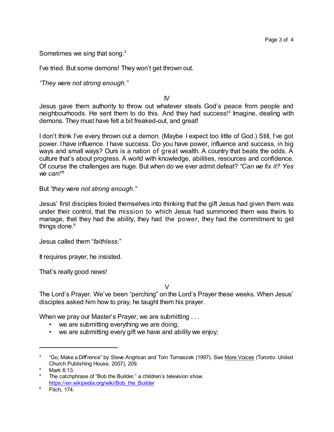Sometimes we sing that song. $3$ 

I've tried. But some demons! They won't get thrown out.

*"They were not strong enough."*

IV

Jesus gave them authority to throw out whatever steals God's peace from people and neighbourhoods. He sent them to do this. And they had success!<sup>4</sup> Imagine, dealing with demons. They must have felt a bit freaked-out, and great!

I don't think I've every thrown out a demon. (Maybe I expect too little of God.) Still, I've got power. I have influence. I have success. Do you have power, influence and success, in big ways and small ways? Ours is a nation of great wealth. A country that beats the odds. A culture that's about progress. A world with knowledge, abilities, resources and confidence. Of course the challenges are huge. But when do we ever admit defeat? *"Can we fix it? Yes we can!" 5*

But *"they were not strong enough."*

Jesus' first disciples fooled themselves into thinking that the gift Jesus had given them was under their control, that the mission to which Jesus had summoned them was theirs to manage, that they had the ability, they had the power, they had the commitment to get things done. $6$ 

Jesus called them "*faithless*."

It requires prayer, he insisted.

That's really good news!

 $\mathcal{V}$ 

The Lord's Prayer. We've been "perching" on the Lord's Prayer these weeks. When Jesus' disciples asked him how to pray, he taught them his prayer.

When we pray our Master's Prayer, we are submitting ...

- we are submitting everything we are doing;
- we are submitting every gift we have and ability we enjoy;

<sup>&</sup>lt;sup>3</sup> "Go, Make a Diffrence" by Steve Angrisan and Tom Tomaszek (1997). See <u>More Voices</u> (Toronto: United Church Publishing House, 2007), 209.

<sup>4</sup> Mark 6:13.

<sup>&</sup>lt;sup>5</sup> The catchphrase of "Bob the Builder," a children's television show. [https://en.wikipedia.org/wiki/Bob\\_the\\_Builder](https://en.wikipedia.org/wiki/Bob_the_Builder)\_

<sup>6</sup> Fitch, 174.